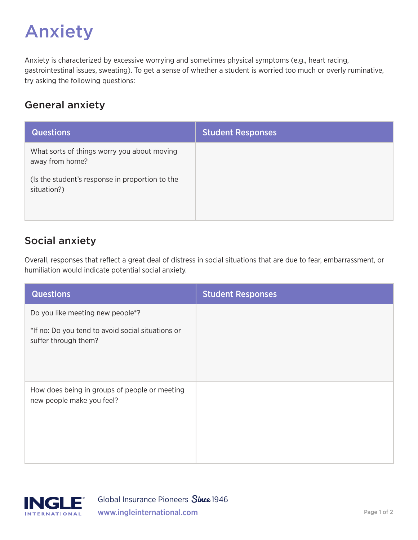# Anxiety

Anxiety is characterized by excessive worrying and sometimes physical symptoms (e.g., heart racing, gastrointestinal issues, sweating). To get a sense of whether a student is worried too much or overly ruminative, try asking the following questions:

#### General anxiety

| <b>Questions</b>                                               | <b>Student Responses</b> |
|----------------------------------------------------------------|--------------------------|
| What sorts of things worry you about moving<br>away from home? |                          |
| (Is the student's response in proportion to the<br>situation?) |                          |

## Social anxiety

Overall, responses that reflect a great deal of distress in social situations that are due to fear, embarrassment, or humiliation would indicate potential social anxiety.

| <b>Questions</b>                                                           | <b>Student Responses</b> |
|----------------------------------------------------------------------------|--------------------------|
| Do you like meeting new people*?                                           |                          |
| *If no: Do you tend to avoid social situations or<br>suffer through them?  |                          |
| How does being in groups of people or meeting<br>new people make you feel? |                          |